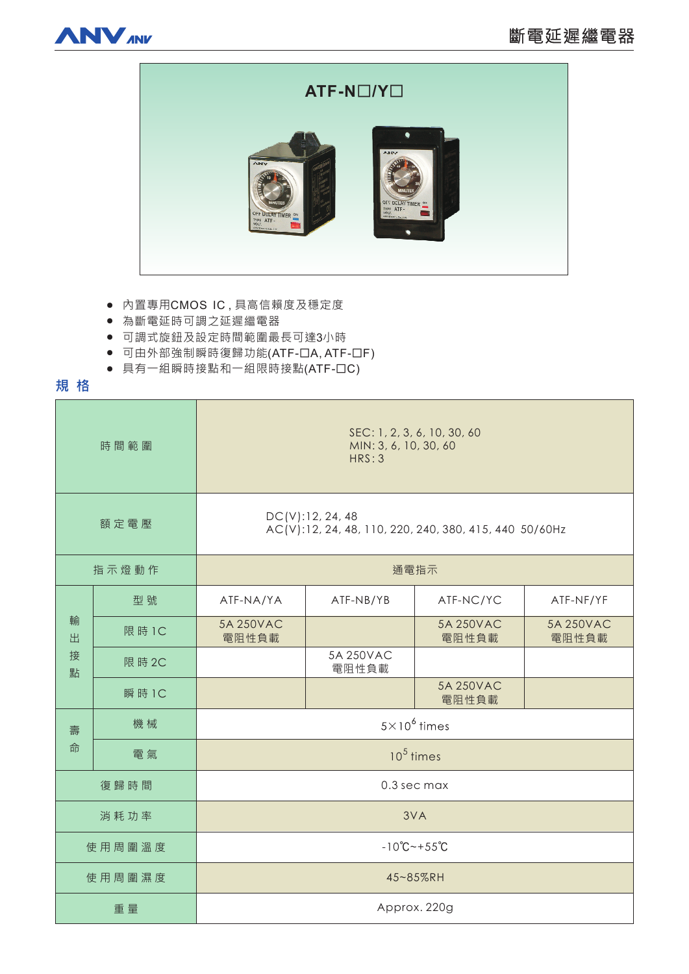



- 内置專用CMOS IC,具高信賴度及穩定度
- 為斷電延時可調之延遲繼電器
- 可調式旋鈕及設定時間範圍最長可達3小時
- 可由外部強制瞬時復歸功能(ATF-ロA, ATF-ロF)
- 具有一組瞬時接點和一組限時接點(ATF-OC)

# **規格**

| 時間範圍             |        | SEC: 1, 2, 3, 6, 10, 30, 60<br>MIN: 3, 6, 10, 30, 60<br>HRS:3              |                    |                    |                    |
|------------------|--------|----------------------------------------------------------------------------|--------------------|--------------------|--------------------|
| 額定電壓             |        | DC(V):12, 24, 48<br>AC(V):12, 24, 48, 110, 220, 240, 380, 415, 440 50/60Hz |                    |                    |                    |
| 指示燈動作            |        | 通電指示                                                                       |                    |                    |                    |
| 輸<br>出<br>接<br>點 | 型號     | ATF-NA/YA                                                                  | ATF-NB/YB          | ATF-NC/YC          | ATF-NF/YF          |
|                  | 限 時 1C | 5A 250VAC<br>電阻性負載                                                         |                    | 5A 250VAC<br>電阻性負載 | 5A 250VAC<br>電阻性負載 |
|                  | 限 時 2C |                                                                            | 5A 250VAC<br>電阻性負載 |                    |                    |
|                  | 瞬 時 1C |                                                                            |                    | 5A 250VAC<br>電阻性負載 |                    |
| 壽<br>命           | 機械     | $5 \times 10^6$ times                                                      |                    |                    |                    |
|                  | 電氣     | $105$ times                                                                |                    |                    |                    |
| 復歸時間             |        | 0.3 sec max                                                                |                    |                    |                    |
| 消耗功率             |        | 3VA                                                                        |                    |                    |                    |
| 使用周圍溫度           |        | $-10^{\circ}$ C ~ + 55 $^{\circ}$ C                                        |                    |                    |                    |
| 使用周圍濕度           |        | 45~85%RH                                                                   |                    |                    |                    |
| 重量               |        | Approx. 220g                                                               |                    |                    |                    |